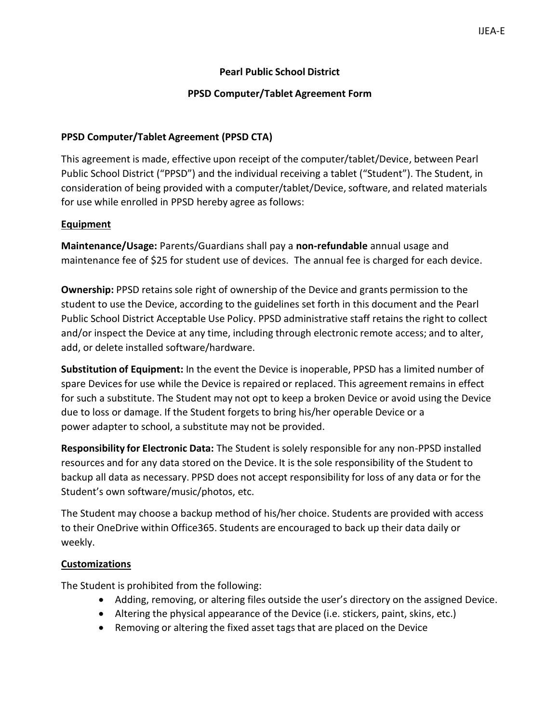## **Pearl Public School District**

#### **PPSD Computer/Tablet Agreement Form**

## **PPSD Computer/Tablet Agreement (PPSD CTA)**

This agreement is made, effective upon receipt of the computer/tablet/Device, between Pearl Public School District ("PPSD") and the individual receiving a tablet ("Student"). The Student, in consideration of being provided with a computer/tablet/Device, software, and related materials for use while enrolled in PPSD hereby agree as follows:

# **Equipment**

**Maintenance/Usage:** Parents/Guardians shall pay a **non-refundable** annual usage and maintenance fee of \$25 for student use of devices. The annual fee is charged for each device.

**Ownership:** PPSD retains sole right of ownership of the Device and grants permission to the student to use the Device, according to the guidelines set forth in this document and the Pearl Public School District Acceptable Use Policy. PPSD administrative staff retains the right to collect and/or inspect the Device at any time, including through electronic remote access; and to alter, add, or delete installed software/hardware.

**Substitution of Equipment:** In the event the Device is inoperable, PPSD has a limited number of spare Devices for use while the Device is repaired or replaced. This agreement remains in effect for such a substitute. The Student may not opt to keep a broken Device or avoid using the Device due to loss or damage. If the Student forgets to bring his/her operable Device or a power adapter to school, a substitute may not be provided.

**Responsibility for Electronic Data:** The Student is solely responsible for any non-PPSD installed resources and for any data stored on the Device. It is the sole responsibility of the Student to backup all data as necessary. PPSD does not accept responsibility for loss of any data or for the Student's own software/music/photos, etc.

The Student may choose a backup method of his/her choice. Students are provided with access to their OneDrive within Office365. Students are encouraged to back up their data daily or weekly.

#### **Customizations**

The Student is prohibited from the following:

- Adding, removing, or altering files outside the user's directory on the assigned Device.
- Altering the physical appearance of the Device (i.e. stickers, paint, skins, etc.)
- Removing or altering the fixed asset tags that are placed on the Device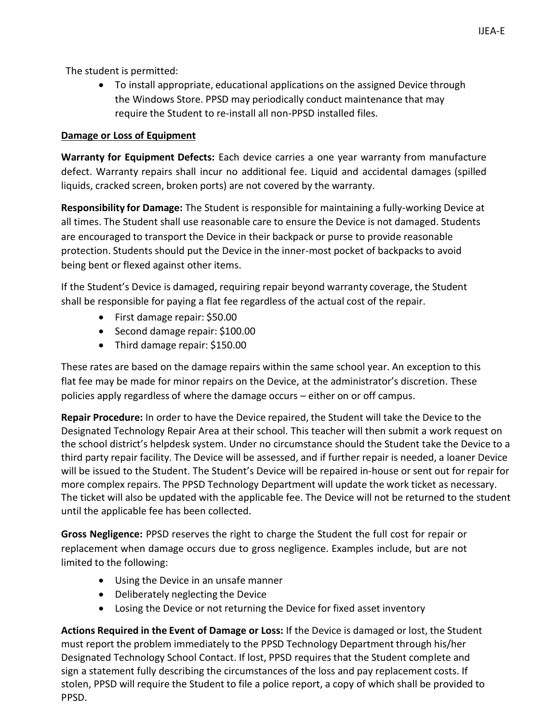The student is permitted:

 To install appropriate, educational applications on the assigned Device through the Windows Store. PPSD may periodically conduct maintenance that may require the Student to re-install all non-PPSD installed files.

## **Damage or Loss of Equipment**

**Warranty for Equipment Defects:** Each device carries a one year warranty from manufacture defect. Warranty repairs shall incur no additional fee. Liquid and accidental damages (spilled liquids, cracked screen, broken ports) are not covered by the warranty.

**Responsibility for Damage:** The Student is responsible for maintaining a fully-working Device at all times. The Student shall use reasonable care to ensure the Device is not damaged. Students are encouraged to transport the Device in their backpack or purse to provide reasonable protection. Students should put the Device in the inner-most pocket of backpacks to avoid being bent or flexed against other items.

If the Student's Device is damaged, requiring repair beyond warranty coverage, the Student shall be responsible for paying a flat fee regardless of the actual cost of the repair.

- First damage repair: \$50.00
- Second damage repair: \$100.00
- Third damage repair: \$150.00

These rates are based on the damage repairs within the same school year. An exception to this flat fee may be made for minor repairs on the Device, at the administrator's discretion. These policies apply regardless of where the damage occurs – either on or off campus.

**Repair Procedure:** In order to have the Device repaired, the Student will take the Device to the Designated Technology Repair Area at their school. This teacher will then submit a work request on the school district's helpdesk system. Under no circumstance should the Student take the Device to a third party repair facility. The Device will be assessed, and if further repair is needed, a loaner Device will be issued to the Student. The Student's Device will be repaired in-house or sent out for repair for more complex repairs. The PPSD Technology Department will update the work ticket as necessary. The ticket will also be updated with the applicable fee. The Device will not be returned to the student until the applicable fee has been collected.

**Gross Negligence:** PPSD reserves the right to charge the Student the full cost for repair or replacement when damage occurs due to gross negligence. Examples include, but are not limited to the following:

- Using the Device in an unsafe manner
- Deliberately neglecting the Device
- Losing the Device or not returning the Device for fixed asset inventory

**Actions Required in the Event of Damage or Loss:** If the Device is damaged or lost, the Student must report the problem immediately to the PPSD Technology Department through his/her Designated Technology School Contact. If lost, PPSD requires that the Student complete and sign a statement fully describing the circumstances of the loss and pay replacement costs. If stolen, PPSD will require the Student to file a police report, a copy of which shall be provided to PPSD.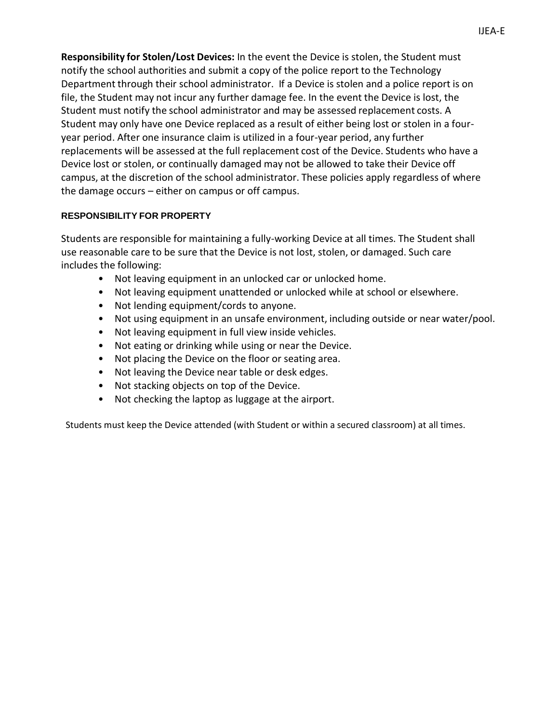**Responsibility for Stolen/Lost Devices:** In the event the Device is stolen, the Student must notify the school authorities and submit a copy of the police report to the Technology Department through their school administrator. If a Device is stolen and a police report is on file, the Student may not incur any further damage fee. In the event the Device is lost, the Student must notify the school administrator and may be assessed replacement costs. A Student may only have one Device replaced as a result of either being lost or stolen in a fouryear period. After one insurance claim is utilized in a four-year period, any further replacements will be assessed at the full replacement cost of the Device. Students who have a Device lost or stolen, or continually damaged may not be allowed to take their Device off campus, at the discretion of the school administrator. These policies apply regardless of where the damage occurs – either on campus or off campus.

#### **RESPONSIBILITY FOR PROPERTY**

Students are responsible for maintaining a fully-working Device at all times. The Student shall use reasonable care to be sure that the Device is not lost, stolen, or damaged. Such care includes the following:

- Not leaving equipment in an unlocked car or unlocked home.
- Not leaving equipment unattended or unlocked while at school or elsewhere.
- Not lending equipment/cords to anyone.
- Not using equipment in an unsafe environment, including outside or near water/pool.
- Not leaving equipment in full view inside vehicles.
- Not eating or drinking while using or near the Device.
- Not placing the Device on the floor or seating area.
- Not leaving the Device near table or desk edges.
- Not stacking objects on top of the Device.
- Not checking the laptop as luggage at the airport.

Students must keep the Device attended (with Student or within a secured classroom) at all times.